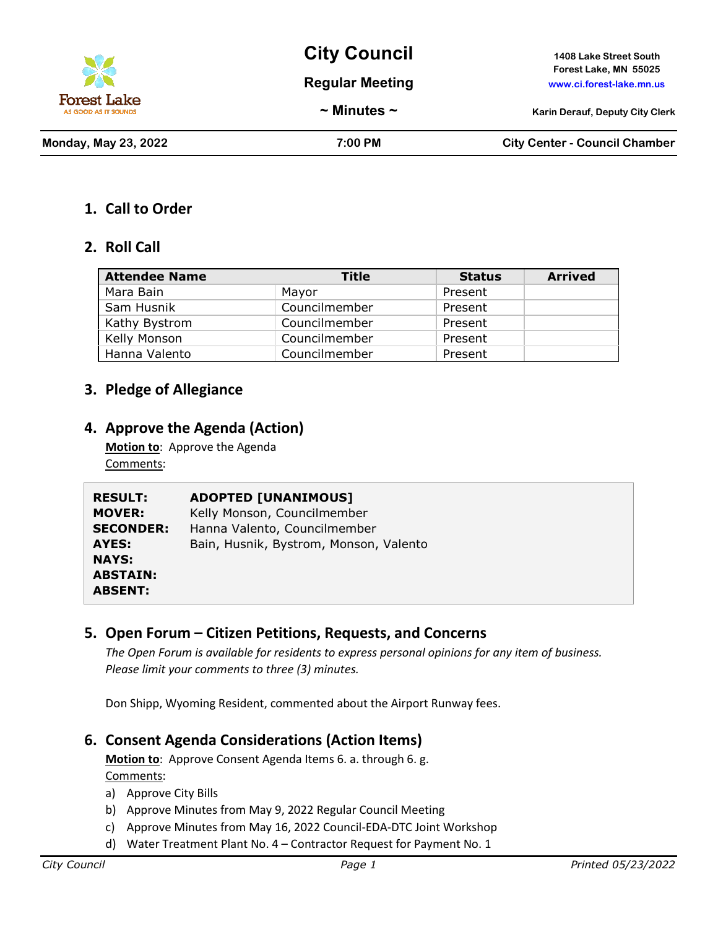

**City Council 1408 Lake Street South**

**Regular Meeting www.ci.forest-lake.mn.us**

**Forest Lake, MN 55025**

**~ Minutes ~ Karin Derauf, Deputy City Clerk**

**Monday, May 23, 2022 7:00 PM City Center - Council Chamber**

## **1. Call to Order**

## **2. Roll Call**

| <b>Attendee Name</b> | Title         | <b>Status</b> | <b>Arrived</b> |
|----------------------|---------------|---------------|----------------|
| Mara Bain            | Mayor         | Present       |                |
| Sam Husnik           | Councilmember | Present       |                |
| Kathy Bystrom        | Councilmember | Present       |                |
| Kelly Monson         | Councilmember | Present       |                |
| Hanna Valento        | Councilmember | Present       |                |

## **3. Pledge of Allegiance**

### **4. Approve the Agenda (Action)**

**Motion to**: Approve the Agenda Comments:

| <b>RESULT:</b>   | <b>ADOPTED [UNANIMOUS]</b>             |
|------------------|----------------------------------------|
| <b>MOVER:</b>    | Kelly Monson, Councilmember            |
| <b>SECONDER:</b> | Hanna Valento, Councilmember           |
| AYES:            | Bain, Husnik, Bystrom, Monson, Valento |
| <b>NAYS:</b>     |                                        |
| <b>ABSTAIN:</b>  |                                        |
| <b>ABSENT:</b>   |                                        |

## **5. Open Forum – Citizen Petitions, Requests, and Concerns**

*The Open Forum is available for residents to express personal opinions for any item of business. Please limit your comments to three (3) minutes.*

Don Shipp, Wyoming Resident, commented about the Airport Runway fees.

## **6. Consent Agenda Considerations (Action Items)**

**Motion to**: Approve Consent Agenda Items 6. a. through 6. g. Comments:

- a) Approve City Bills
- b) Approve Minutes from May 9, 2022 Regular Council Meeting
- c) Approve Minutes from May 16, 2022 Council-EDA-DTC Joint Workshop
- d) Water Treatment Plant No. 4 Contractor Request for Payment No. 1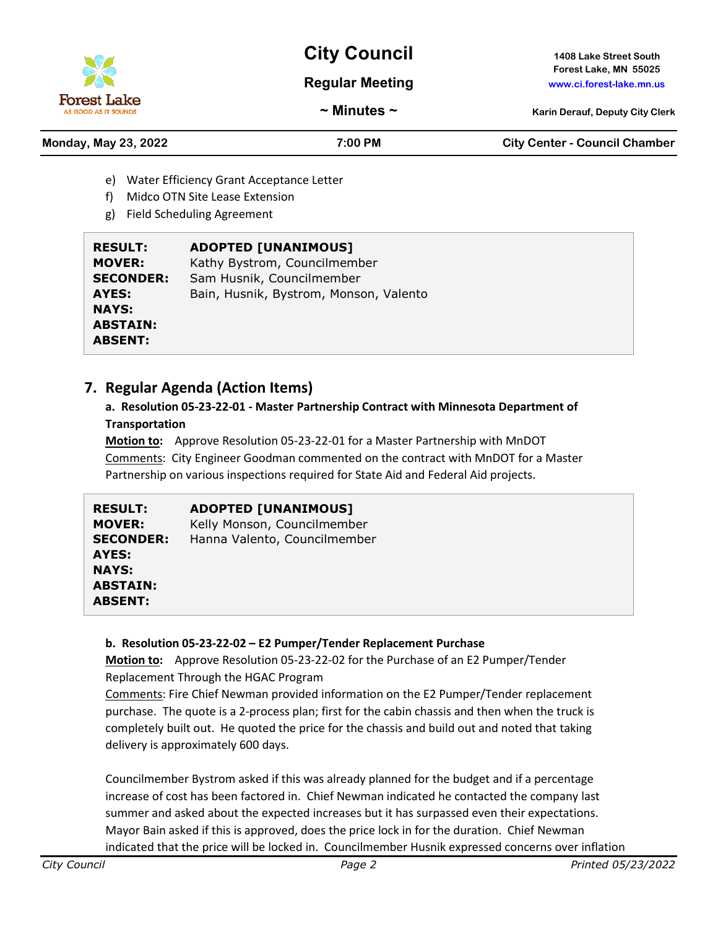# **City Council 1408 Lake Street South**

#### **Regular Meeting www.ci.forest-lake.mn.us**

**Forest Lake, MN 55025**

**~ Minutes ~ Karin Derauf, Deputy City Clerk**

**Monday, May 23, 2022 7:00 PM City Center - Council Chamber**

- e) Water Efficiency Grant Acceptance Letter
- f) Midco OTN Site Lease Extension
- g) Field Scheduling Agreement

| <b>RESULT:</b>   | <b>ADOPTED [UNANIMOUS]</b>             |
|------------------|----------------------------------------|
| <b>MOVER:</b>    | Kathy Bystrom, Councilmember           |
| <b>SECONDER:</b> | Sam Husnik, Councilmember              |
| AYES:            | Bain, Husnik, Bystrom, Monson, Valento |
| <b>NAYS:</b>     |                                        |
| <b>ABSTAIN:</b>  |                                        |
| <b>ABSENT:</b>   |                                        |

## **7. Regular Agenda (Action Items)**

## **a. Resolution 05-23-22-01 - Master Partnership Contract with Minnesota Department of Transportation**

**Motion to:** Approve Resolution 05-23-22-01 for a Master Partnership with MnDOT Comments: City Engineer Goodman commented on the contract with MnDOT for a Master Partnership on various inspections required for State Aid and Federal Aid projects.

| <b>RESULT:</b><br><b>MOVER:</b><br><b>SECONDER:</b><br>AYES:<br><b>NAYS:</b><br><b>ABSTAIN:</b><br><b>ABSENT:</b> | <b>ADOPTED [UNANIMOUS]</b><br>Kelly Monson, Councilmember<br>Hanna Valento, Councilmember |
|-------------------------------------------------------------------------------------------------------------------|-------------------------------------------------------------------------------------------|
|-------------------------------------------------------------------------------------------------------------------|-------------------------------------------------------------------------------------------|

#### **b. Resolution 05-23-22-02 – E2 Pumper/Tender Replacement Purchase**

**Motion to:** Approve Resolution 05-23-22-02 for the Purchase of an E2 Pumper/Tender Replacement Through the HGAC Program

Comments: Fire Chief Newman provided information on the E2 Pumper/Tender replacement purchase. The quote is a 2-process plan; first for the cabin chassis and then when the truck is completely built out. He quoted the price for the chassis and build out and noted that taking delivery is approximately 600 days.

Councilmember Bystrom asked if this was already planned for the budget and if a percentage increase of cost has been factored in. Chief Newman indicated he contacted the company last summer and asked about the expected increases but it has surpassed even their expectations. Mayor Bain asked if this is approved, does the price lock in for the duration. Chief Newman indicated that the price will be locked in. Councilmember Husnik expressed concerns over inflation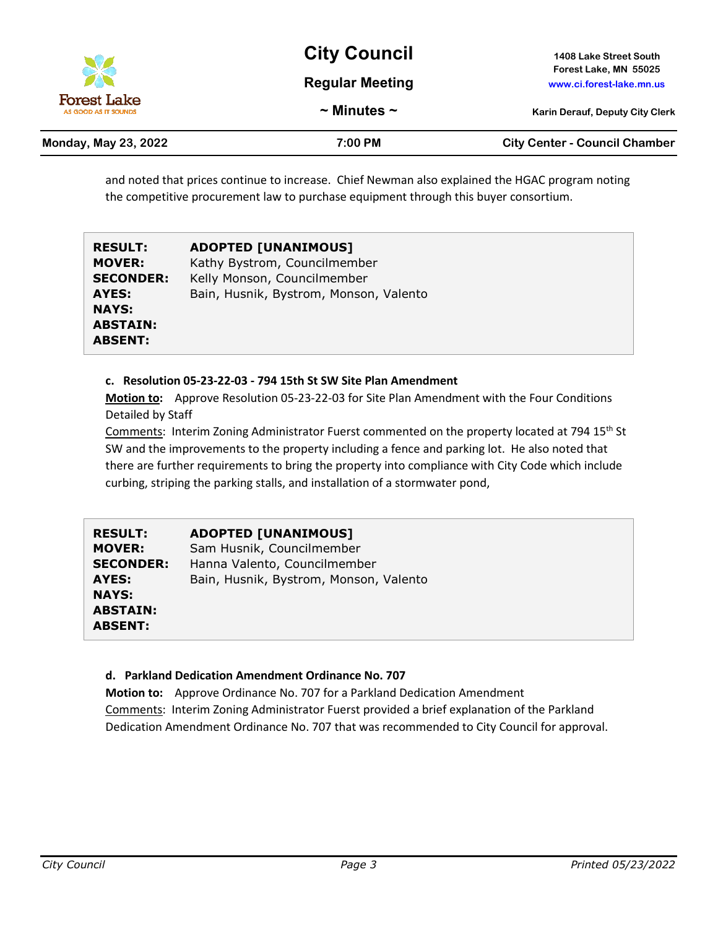

| Monday, May 23, 2022 | 7:00 PM | <b>City Center - Council Chamber</b> |
|----------------------|---------|--------------------------------------|
|                      |         |                                      |

and noted that prices continue to increase. Chief Newman also explained the HGAC program noting the competitive procurement law to purchase equipment through this buyer consortium.

| <b>RESULT:</b>   | <b>ADOPTED [UNANIMOUS]</b>             |
|------------------|----------------------------------------|
| <b>MOVER:</b>    | Kathy Bystrom, Councilmember           |
| <b>SECONDER:</b> | Kelly Monson, Councilmember            |
| AYES:            | Bain, Husnik, Bystrom, Monson, Valento |
| <b>NAYS:</b>     |                                        |
| <b>ABSTAIN:</b>  |                                        |
| <b>ABSENT:</b>   |                                        |

#### **c. Resolution 05-23-22-03 - 794 15th St SW Site Plan Amendment**

**Motion to:** Approve Resolution 05-23-22-03 for Site Plan Amendment with the Four Conditions Detailed by Staff

Comments: Interim Zoning Administrator Fuerst commented on the property located at 794 15<sup>th</sup> St SW and the improvements to the property including a fence and parking lot. He also noted that there are further requirements to bring the property into compliance with City Code which include curbing, striping the parking stalls, and installation of a stormwater pond,

| <b>RESULT:</b>   | <b>ADOPTED [UNANIMOUS]</b>             |
|------------------|----------------------------------------|
| <b>MOVER:</b>    | Sam Husnik, Councilmember              |
| <b>SECONDER:</b> | Hanna Valento, Councilmember           |
| AYES:            | Bain, Husnik, Bystrom, Monson, Valento |
| <b>NAYS:</b>     |                                        |
| <b>ABSTAIN:</b>  |                                        |
| <b>ABSENT:</b>   |                                        |

#### **d. Parkland Dedication Amendment Ordinance No. 707**

**Motion to:** Approve Ordinance No. 707 for a Parkland Dedication Amendment Comments: Interim Zoning Administrator Fuerst provided a brief explanation of the Parkland Dedication Amendment Ordinance No. 707 that was recommended to City Council for approval.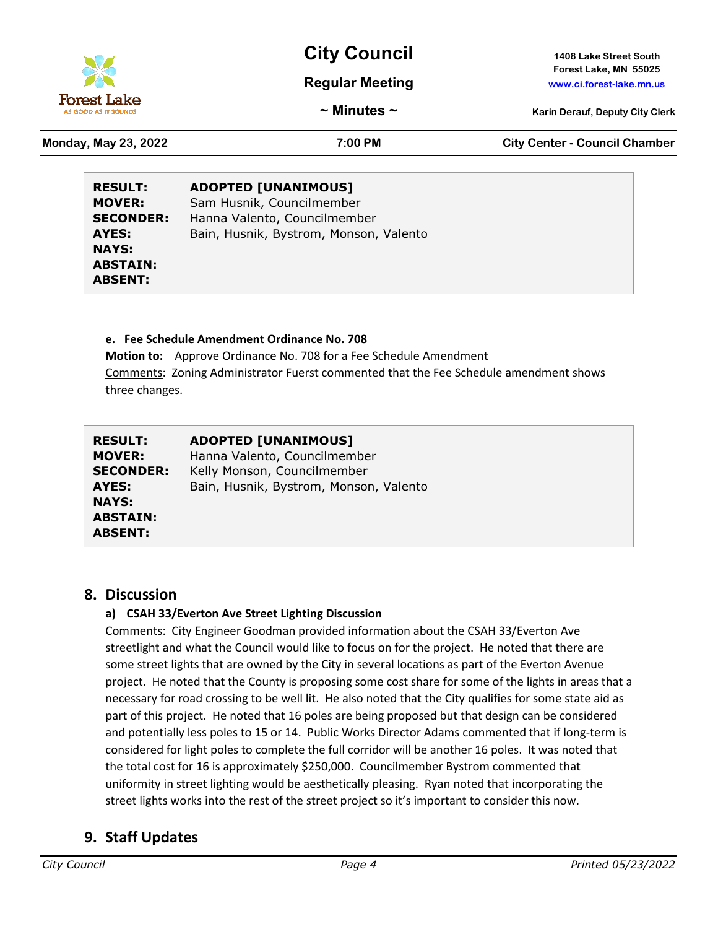

**Forest Lake, MN 55025**

**Regular Meeting www.ci.forest-lake.mn.us**

**~ Minutes ~ Karin Derauf, Deputy City Clerk**

**Forest Lake** 

**Monday, May 23, 2022 7:00 PM City Center - Council Chamber**

| <b>RESULT:</b><br><b>MOVER:</b> | <b>ADOPTED [UNANIMOUS]</b><br>Sam Husnik, Councilmember |
|---------------------------------|---------------------------------------------------------|
| <b>SECONDER:</b>                | Hanna Valento, Councilmember                            |
| AYES:                           | Bain, Husnik, Bystrom, Monson, Valento                  |
| <b>NAYS:</b>                    |                                                         |
| <b>ABSTAIN:</b>                 |                                                         |
| <b>ABSENT:</b>                  |                                                         |

#### **e. Fee Schedule Amendment Ordinance No. 708**

**Motion to:** Approve Ordinance No. 708 for a Fee Schedule Amendment Comments: Zoning Administrator Fuerst commented that the Fee Schedule amendment shows three changes.

| <b>RESULT:</b>   | <b>ADOPTED [UNANIMOUS]</b>             |
|------------------|----------------------------------------|
| <b>MOVER:</b>    | Hanna Valento, Councilmember           |
| <b>SECONDER:</b> | Kelly Monson, Councilmember            |
| AYES:            | Bain, Husnik, Bystrom, Monson, Valento |
| <b>NAYS:</b>     |                                        |
| <b>ABSTAIN:</b>  |                                        |
| <b>ABSENT:</b>   |                                        |

#### **8. Discussion**

#### **a) CSAH 33/Everton Ave Street Lighting Discussion**

Comments: City Engineer Goodman provided information about the CSAH 33/Everton Ave streetlight and what the Council would like to focus on for the project. He noted that there are some street lights that are owned by the City in several locations as part of the Everton Avenue project. He noted that the County is proposing some cost share for some of the lights in areas that a necessary for road crossing to be well lit. He also noted that the City qualifies for some state aid as part of this project. He noted that 16 poles are being proposed but that design can be considered and potentially less poles to 15 or 14. Public Works Director Adams commented that if long-term is considered for light poles to complete the full corridor will be another 16 poles. It was noted that the total cost for 16 is approximately \$250,000. Councilmember Bystrom commented that uniformity in street lighting would be aesthetically pleasing. Ryan noted that incorporating the street lights works into the rest of the street project so it's important to consider this now.

## **9. Staff Updates**